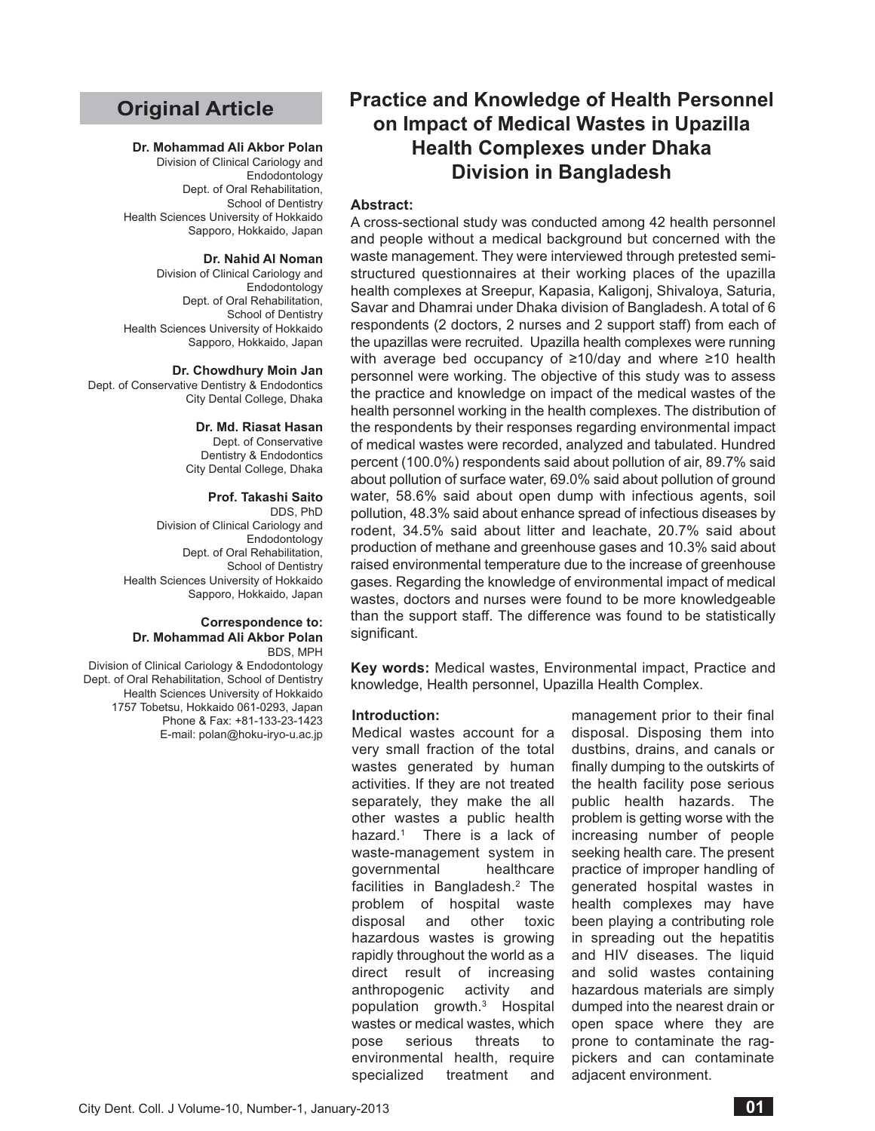# **Original Article**

#### **Dr. Mohammad Ali Akbor Polan**

Division of Clinical Cariology and Endodontology Dept. of Oral Rehabilitation, School of Dentistry Health Sciences University of Hokkaido Sapporo, Hokkaido, Japan

#### **Dr. Nahid Al Noman**

Division of Clinical Cariology and Endodontology Dept. of Oral Rehabilitation, School of Dentistry Health Sciences University of Hokkaido Sapporo, Hokkaido, Japan

## **Dr. Chowdhury Moin Jan**

Dept. of Conservative Dentistry & Endodontics City Dental College, Dhaka

### **Dr. Md. Riasat Hasan**

Dept. of Conservative Dentistry & Endodontics City Dental College, Dhaka

### **Prof. Takashi Saito**

DDS, PhD Division of Clinical Cariology and Endodontology Dept. of Oral Rehabilitation, School of Dentistry Health Sciences University of Hokkaido Sapporo, Hokkaido, Japan

#### **Correspondence to: Dr. Mohammad Ali Akbor Polan** BDS, MPH

Division of Clinical Cariology & Endodontology Dept. of Oral Rehabilitation, School of Dentistry Health Sciences University of Hokkaido 1757 Tobetsu, Hokkaido 061-0293, Japan Phone & Fax: +81-133-23-1423 E-mail: polan@hoku-iryo-u.ac.jp

# **Practice and Knowledge of Health Personnel on Impact of Medical Wastes in Upazilla Health Complexes under Dhaka Division in Bangladesh**

## **Abstract:**

A cross-sectional study was conducted among 42 health personnel and people without a medical background but concerned with the waste management. They were interviewed through pretested semistructured questionnaires at their working places of the upazilla health complexes at Sreepur, Kapasia, Kaligonj, Shivaloya, Saturia, Savar and Dhamrai under Dhaka division of Bangladesh. A total of 6 respondents (2 doctors, 2 nurses and 2 support staff) from each of the upazillas were recruited. Upazilla health complexes were running with average bed occupancy of ≥10/day and where ≥10 health personnel were working. The objective of this study was to assess the practice and knowledge on impact of the medical wastes of the health personnel working in the health complexes. The distribution of the respondents by their responses regarding environmental impact of medical wastes were recorded, analyzed and tabulated. Hundred percent (100.0%) respondents said about pollution of air, 89.7% said about pollution of surface water, 69.0% said about pollution of ground water, 58.6% said about open dump with infectious agents, soil pollution, 48.3% said about enhance spread of infectious diseases by rodent, 34.5% said about litter and leachate, 20.7% said about production of methane and greenhouse gases and 10.3% said about raised environmental temperature due to the increase of greenhouse gases. Regarding the knowledge of environmental impact of medical wastes, doctors and nurses were found to be more knowledgeable than the support staff. The difference was found to be statistically significant.

**Key words:** Medical wastes, Environmental impact, Practice and knowledge, Health personnel, Upazilla Health Complex.

### **Introduction:**

Medical wastes account for a very small fraction of the total wastes generated by human activities. If they are not treated separately, they make the all other wastes a public health hazard.<sup>1</sup> There is a lack of waste-management system in governmental healthcare facilities in Bangladesh.<sup>2</sup> The problem of hospital waste disposal and other toxic hazardous wastes is growing rapidly throughout the world as a direct result of increasing anthropogenic activity and population growth.3 Hospital wastes or medical wastes, which pose serious threats to environmental health, require specialized treatment and

management prior to their final disposal. Disposing them into dustbins, drains, and canals or finally dumping to the outskirts of the health facility pose serious public health hazards. The problem is getting worse with the increasing number of people seeking health care. The present practice of improper handling of generated hospital wastes in health complexes may have been playing a contributing role in spreading out the hepatitis and HIV diseases. The liquid and solid wastes containing hazardous materials are simply dumped into the nearest drain or open space where they are prone to contaminate the ragpickers and can contaminate adjacent environment.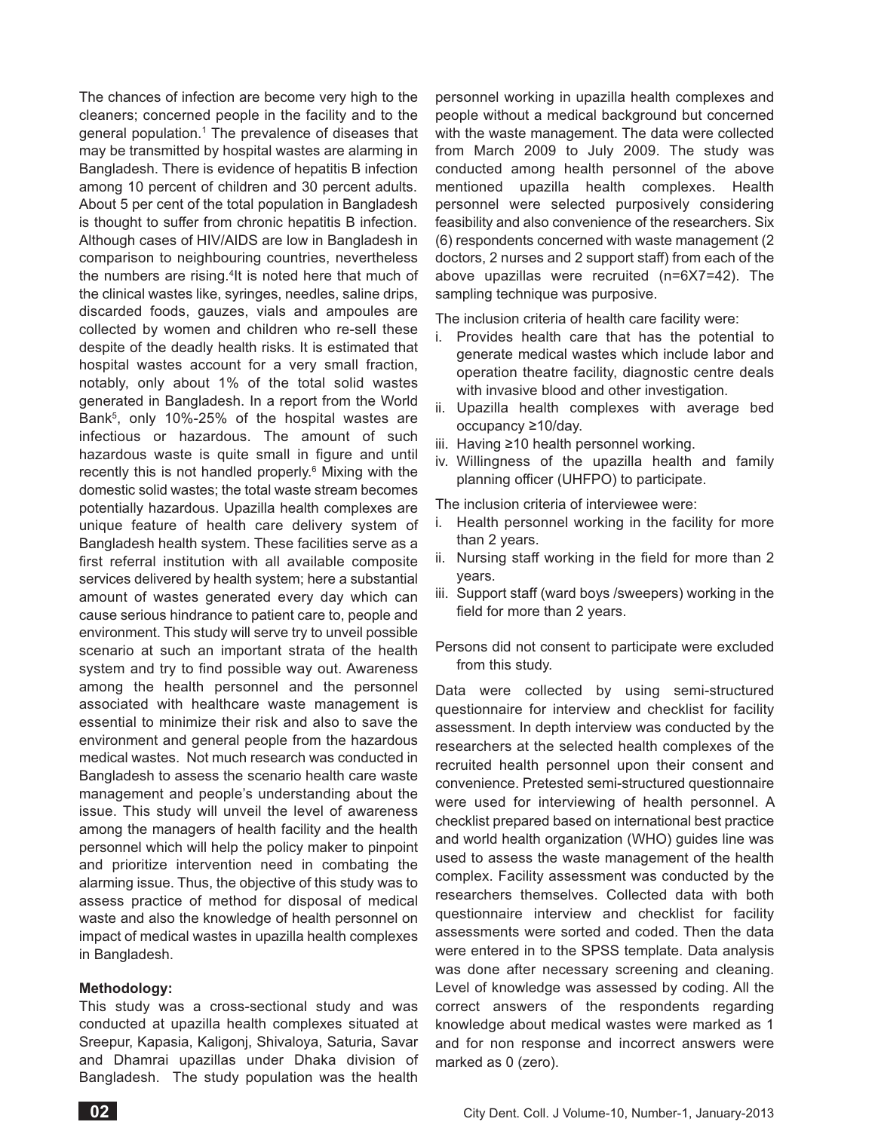The chances of infection are become very high to the cleaners; concerned people in the facility and to the general population.<sup>1</sup> The prevalence of diseases that may be transmitted by hospital wastes are alarming in Bangladesh. There is evidence of hepatitis B infection among 10 percent of children and 30 percent adults. About 5 per cent of the total population in Bangladesh is thought to suffer from chronic hepatitis B infection. Although cases of HIV/AIDS are low in Bangladesh in comparison to neighbouring countries, nevertheless the numbers are rising.<sup>4</sup>It is noted here that much of the clinical wastes like, syringes, needles, saline drips, discarded foods, gauzes, vials and ampoules are collected by women and children who re-sell these despite of the deadly health risks. It is estimated that hospital wastes account for a very small fraction, notably, only about 1% of the total solid wastes generated in Bangladesh. In a report from the World Bank5, only 10%-25% of the hospital wastes are infectious or hazardous. The amount of such hazardous waste is quite small in figure and until recently this is not handled properly.<sup>6</sup> Mixing with the domestic solid wastes; the total waste stream becomes potentially hazardous. Upazilla health complexes are unique feature of health care delivery system of Bangladesh health system. These facilities serve as a first referral institution with all available composite services delivered by health system; here a substantial amount of wastes generated every day which can cause serious hindrance to patient care to, people and environment. This study will serve try to unveil possible scenario at such an important strata of the health system and try to find possible way out. Awareness among the health personnel and the personnel associated with healthcare waste management is essential to minimize their risk and also to save the environment and general people from the hazardous medical wastes. Not much research was conducted in Bangladesh to assess the scenario health care waste management and people's understanding about the issue. This study will unveil the level of awareness among the managers of health facility and the health personnel which will help the policy maker to pinpoint and prioritize intervention need in combating the alarming issue. Thus, the objective of this study was to assess practice of method for disposal of medical waste and also the knowledge of health personnel on impact of medical wastes in upazilla health complexes in Bangladesh.

## **Methodology:**

This study was a cross-sectional study and was conducted at upazilla health complexes situated at Sreepur, Kapasia, Kaligonj, Shivaloya, Saturia, Savar and Dhamrai upazillas under Dhaka division of Bangladesh. The study population was the health

personnel working in upazilla health complexes and people without a medical background but concerned with the waste management. The data were collected from March 2009 to July 2009. The study was conducted among health personnel of the above mentioned upazilla health complexes. Health personnel were selected purposively considering feasibility and also convenience of the researchers. Six (6) respondents concerned with waste management (2 doctors, 2 nurses and 2 support staff) from each of the above upazillas were recruited (n=6X7=42). The sampling technique was purposive.

The inclusion criteria of health care facility were:

- i. Provides health care that has the potential to generate medical wastes which include labor and operation theatre facility, diagnostic centre deals with invasive blood and other investigation.
- ii. Upazilla health complexes with average bed occupancy ≥10/day.
- iii. Having ≥10 health personnel working.
- iv. Willingness of the upazilla health and family planning officer (UHFPO) to participate.

The inclusion criteria of interviewee were:

- i. Health personnel working in the facility for more than 2 years.
- ii. Nursing staff working in the field for more than 2 years.
- iii. Support staff (ward boys /sweepers) working in the field for more than 2 years.
- Persons did not consent to participate were excluded from this study.

Data were collected by using semi-structured questionnaire for interview and checklist for facility assessment. In depth interview was conducted by the researchers at the selected health complexes of the recruited health personnel upon their consent and convenience. Pretested semi-structured questionnaire were used for interviewing of health personnel. A checklist prepared based on international best practice and world health organization (WHO) guides line was used to assess the waste management of the health complex. Facility assessment was conducted by the researchers themselves. Collected data with both questionnaire interview and checklist for facility assessments were sorted and coded. Then the data were entered in to the SPSS template. Data analysis was done after necessary screening and cleaning. Level of knowledge was assessed by coding. All the correct answers of the respondents regarding knowledge about medical wastes were marked as 1 and for non response and incorrect answers were marked as 0 (zero).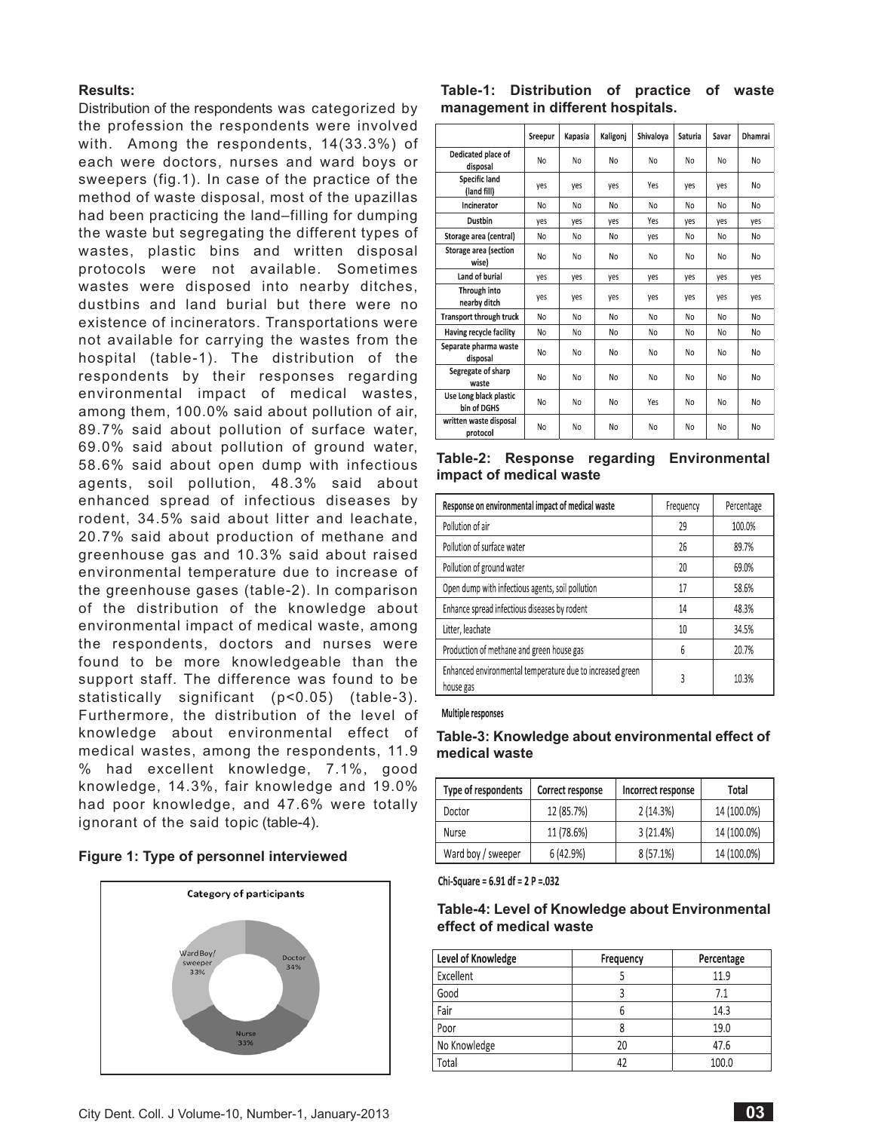## **Results:**

Distribution of the respondents was categorized by the profession the respondents were involved with. Among the respondents, 14(33.3%) of each were doctors, nurses and ward boys or sweepers (fig.1). In case of the practice of the method of waste disposal, most of the upazillas had been practicing the land–filling for dumping the waste but segregating the different types of wastes, plastic bins and written disposal protocols were not available. Sometimes wastes were disposed into nearby ditches, dustbins and land burial but there were no existence of incinerators. Transportations were not available for carrying the wastes from the hospital (table-1). The distribution of the respondents by their responses regarding environmental impact of medical wastes, among them, 100.0% said about pollution of air, 89.7% said about pollution of surface water, 69.0% said about pollution of ground water, 58.6% said about open dump with infectious agents, soil pollution, 48.3% said about enhanced spread of infectious diseases by rodent, 34.5% said about litter and leachate, 20.7% said about production of methane and greenhouse gas and 10.3% said about raised environmental temperature due to increase of the greenhouse gases (table-2). In comparison of the distribution of the knowledge about environmental impact of medical waste, among the respondents, doctors and nurses were found to be more knowledgeable than the support staff. The difference was found to be statistically significant (p<0.05) (table-3). Furthermore, the distribution of the level of knowledge about environmental effect of medical wastes, among the respondents, 11.9 % had excellent knowledge, 7.1%, good knowledge, 14.3%, fair knowledge and 19.0% had poor knowledge, and 47.6% were totally ignorant of the said topic (table-4).

|  |  | Figure 1: Type of personnel interviewed |  |
|--|--|-----------------------------------------|--|
|--|--|-----------------------------------------|--|



## **Table-1: Distribution of practice of waste management in different hospitals.**

|                                       | Sreepur | Kapasia | Kaligonj | Shivaloya | Saturia | Savar | Dhamrai |
|---------------------------------------|---------|---------|----------|-----------|---------|-------|---------|
| Dedicated place of<br>disposal        | No      | No      | No       | No        | No      | No    | No      |
| Specific land<br>(land fill)          | yes     | yes     | yes      | Yes       | yes     | yes   | No      |
| Incinerator                           | No      | No      | No       | No        | No      | No    | No      |
| <b>Dustbin</b>                        | yes     | yes     | yes      | Yes       | yes     | yes   | yes     |
| Storage area (central)                | No      | No      | No       | yes       | No      | No    | No      |
| Storage area (section<br>wise)        | No      | No      | No       | No        | No      | No    | No      |
| Land of burial                        | yes     | yes     | yes      | yes       | yes     | yes   | yes     |
| Through into<br>nearby ditch          | yes     | yes     | yes      | yes       | yes     | yes   | yes     |
| Transport through truck               | No      | No      | No       | No        | No      | No    | No      |
| Having recycle facility               | No      | No      | No       | No        | No      | No    | No      |
| Separate pharma waste<br>disposal     | No      | No      | No       | No        | No      | No    | No      |
| Segregate of sharp<br>waste           | No      | No      | No       | No        | No      | No    | No      |
| Use Long black plastic<br>bin of DGHS | No      | No      | No       | Yes       | No      | No    | No      |
| written waste disposal<br>protocol    | No      | No      | No       | No        | No      | No    | No      |

**Table-2: Response regarding Environmental impact of medical waste**

| Response on environmental impact of medical waste                      | Frequency | Percentage |
|------------------------------------------------------------------------|-----------|------------|
| Pollution of air                                                       | 29        | 100.0%     |
| Pollution of surface water                                             | 26        | 89.7%      |
| Pollution of ground water                                              | 20        | 69.0%      |
| Open dump with infectious agents, soil pollution                       | 17        | 58.6%      |
| Enhance spread infectious diseases by rodent                           | 14        | 48.3%      |
| Litter, leachate                                                       | 10        | 34.5%      |
| Production of methane and green house gas                              | 6         | 20.7%      |
| Enhanced environmental temperature due to increased green<br>house gas | 3         | 10.3%      |

Multiple responses

# **Table-3: Knowledge about environmental effect of medical waste**

| Type of respondents | Correct response | Incorrect response | Total       |
|---------------------|------------------|--------------------|-------------|
| Doctor              | 12 (85.7%)       | 2(14.3%)           | 14 (100.0%) |
| Nurse               | 11 (78.6%)       | 3(21.4%)           | 14 (100.0%) |
| Ward boy / sweeper  | 6(42.9%)         | $8(57.1\%)$        | 14 (100.0%) |

Chi-Square =  $6.91$  df =  $2$  P =  $.032$ 

# **Table-4: Level of Knowledge about Environmental effect of medical waste**

| Level of Knowledge | Frequency | Percentage |
|--------------------|-----------|------------|
| Excellent          |           | 11.9       |
| Good               |           | 7.1        |
| Fair               |           | 14.3       |
| Poor               | n         | 19.0       |
| No Knowledge       | 20        | 47.6       |
| Total              | 47        | 100.0      |